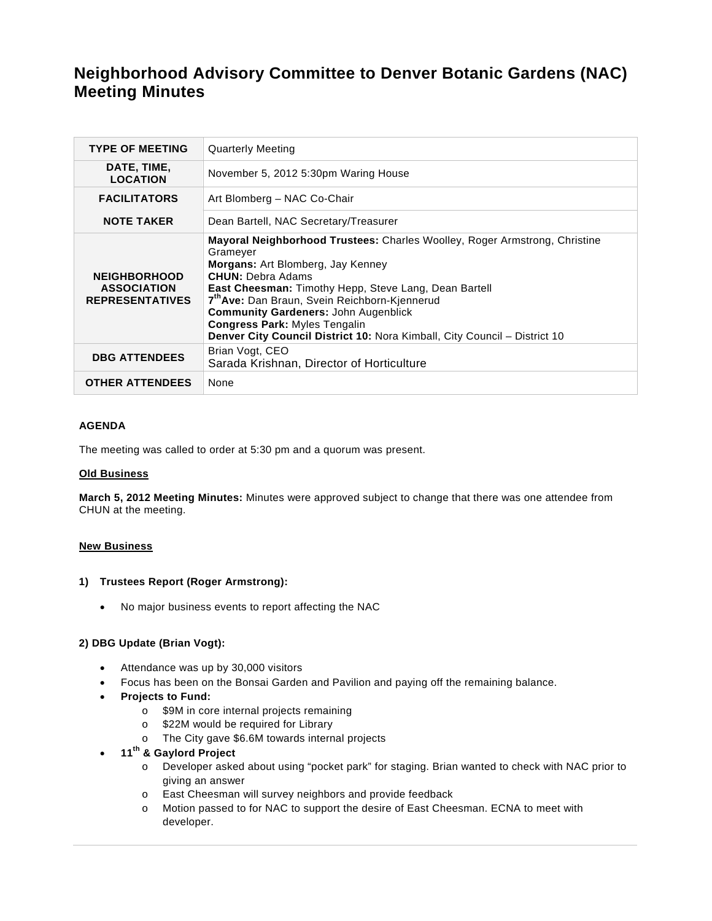# **Neighborhood Advisory Committee to Denver Botanic Gardens (NAC) Meeting Minutes**

| <b>TYPE OF MEETING</b>                                              | <b>Quarterly Meeting</b>                                                                                                                                                                                                                                                                                                                                                                                                                                 |
|---------------------------------------------------------------------|----------------------------------------------------------------------------------------------------------------------------------------------------------------------------------------------------------------------------------------------------------------------------------------------------------------------------------------------------------------------------------------------------------------------------------------------------------|
| DATE, TIME,<br><b>LOCATION</b>                                      | November 5, 2012 5:30pm Waring House                                                                                                                                                                                                                                                                                                                                                                                                                     |
| <b>FACILITATORS</b>                                                 | Art Blomberg - NAC Co-Chair                                                                                                                                                                                                                                                                                                                                                                                                                              |
| <b>NOTE TAKER</b>                                                   | Dean Bartell, NAC Secretary/Treasurer                                                                                                                                                                                                                                                                                                                                                                                                                    |
| <b>NEIGHBORHOOD</b><br><b>ASSOCIATION</b><br><b>REPRESENTATIVES</b> | <b>Mayoral Neighborhood Trustees:</b> Charles Woolley, Roger Armstrong, Christine<br>Grameyer<br>Morgans: Art Blomberg, Jay Kenney<br><b>CHUN: Debra Adams</b><br>East Cheesman: Timothy Hepp, Steve Lang, Dean Bartell<br>7 <sup>th</sup> Ave: Dan Braun, Svein Reichborn-Kjennerud<br><b>Community Gardeners: John Augenblick</b><br><b>Congress Park: Myles Tengalin</b><br>Denver City Council District 10: Nora Kimball, City Council - District 10 |
| <b>DBG ATTENDEES</b>                                                | Brian Vogt, CEO<br>Sarada Krishnan, Director of Horticulture                                                                                                                                                                                                                                                                                                                                                                                             |
| <b>OTHER ATTENDEES</b>                                              | None                                                                                                                                                                                                                                                                                                                                                                                                                                                     |

# **AGENDA**

The meeting was called to order at 5:30 pm and a quorum was present.

## **Old Business**

**March 5, 2012 Meeting Minutes:** Minutes were approved subject to change that there was one attendee from CHUN at the meeting.

### **New Business**

### **1) Trustees Report (Roger Armstrong):**

No major business events to report affecting the NAC

## **2) DBG Update (Brian Vogt):**

- Attendance was up by 30,000 visitors
- Focus has been on the Bonsai Garden and Pavilion and paying off the remaining balance.
- **Projects to Fund:**
	- o \$9M in core internal projects remaining
	- o \$22M would be required for Library
	- o The City gave \$6.6M towards internal projects
- **11th & Gaylord Project**
	- o Developer asked about using "pocket park" for staging. Brian wanted to check with NAC prior to giving an answer
	- o East Cheesman will survey neighbors and provide feedback
	- o Motion passed to for NAC to support the desire of East Cheesman. ECNA to meet with developer.